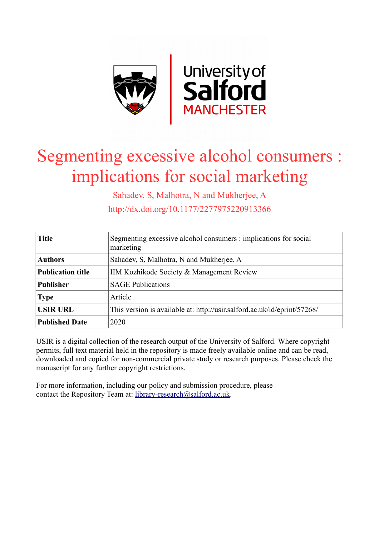

# Segmenting excessive alcohol consumers : implications for social marketing

Sahadev, S, Malhotra, N and Mukherjee, A http://dx.doi.org/10.1177/2277975220913366

| <b>Title</b>             | Segmenting excessive alcohol consumers : implications for social<br>marketing |
|--------------------------|-------------------------------------------------------------------------------|
| <b>Authors</b>           | Sahadev, S. Malhotra, N and Mukherjee, A                                      |
| <b>Publication title</b> | IIM Kozhikode Society & Management Review                                     |
| <b>Publisher</b>         | <b>SAGE Publications</b>                                                      |
| <b>Type</b>              | Article                                                                       |
| <b>USIR URL</b>          | This version is available at: http://usir.salford.ac.uk/id/eprint/57268/      |
| <b>Published Date</b>    | 2020                                                                          |

USIR is a digital collection of the research output of the University of Salford. Where copyright permits, full text material held in the repository is made freely available online and can be read, downloaded and copied for non-commercial private study or research purposes. Please check the manuscript for any further copyright restrictions.

For more information, including our policy and submission procedure, please contact the Repository Team at: [library-research@salford.ac.uk.](mailto:library-research@salford.ac.uk)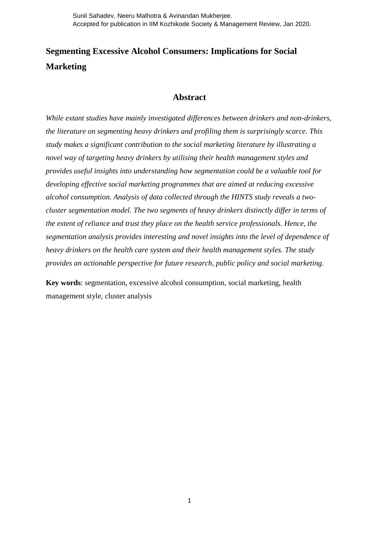# **Segmenting Excessive Alcohol Consumers: Implications for Social Marketing**

## **Abstract**

*While extant studies have mainly investigated differences between drinkers and non-drinkers, the literature on segmenting heavy drinkers and profiling them is surprisingly scarce. This study makes a significant contribution to the social marketing literature by illustrating a novel way of targeting heavy drinkers by utilising their health management styles and provides useful insights into understanding how segmentation could be a valuable tool for developing effective social marketing programmes that are aimed at reducing excessive alcohol consumption. Analysis of data collected through the HINTS study reveals a twocluster segmentation model. The two segments of heavy drinkers distinctly differ in terms of the extent of reliance and trust they place on the health service professionals. Hence, the segmentation analysis provides interesting and novel insights into the level of dependence of heavy drinkers on the health care system and their health management styles. The study provides an actionable perspective for future research, public policy and social marketing.*

**Key words**: segmentation, excessive alcohol consumption, social marketing, health management style, cluster analysis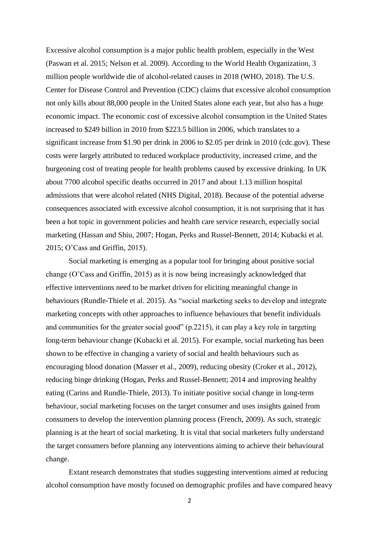Excessive alcohol consumption is a major public health problem, especially in the West (Paswan et al. 2015; Nelson et al. 2009). According to the World Health Organization, 3 million people worldwide die of alcohol-related causes in 2018 (WHO, 2018). The U.S. Center for Disease Control and Prevention (CDC) claims that excessive alcohol consumption not only kills about 88,000 people in the United States alone each year, but also has a huge economic impact. The economic cost of excessive alcohol consumption in the United States increased to \$249 billion in 2010 from \$223.5 billion in 2006, which translates to a significant increase from \$1.90 per drink in 2006 to \$2.05 per drink in 2010 (cdc.gov). These costs were largely attributed to reduced workplace productivity, increased crime, and the burgeoning cost of treating people for health problems caused by excessive drinking. In UK about 7700 alcohol specific deaths occurred in 2017 and about 1.13 million hospital admissions that were alcohol related (NHS Digital, 2018). Because of the potential adverse consequences associated with excessive alcohol consumption, it is not surprising that it has been a hot topic in government policies and health care service research, especially social marketing (Hassan and Shiu, 2007; Hogan, Perks and Russel-Bennett, 2014; Kubacki et al. 2015; O'Cass and Griffin, 2015).

Social marketing is emerging as a popular tool for bringing about positive social change (O'Cass and Griffin, 2015) as it is now being increasingly acknowledged that effective interventions need to be market driven for eliciting meaningful change in behaviours (Rundle-Thiele et al. 2015). As "social marketing seeks to develop and integrate marketing concepts with other approaches to influence behaviours that benefit individuals and communities for the greater social good" (p.2215), it can play a key role in targeting long-term behaviour change (Kubacki et al. 2015). For example, social marketing has been shown to be effective in changing a variety of social and health behaviours such as encouraging blood donation (Masser et al., 2009), reducing obesity (Croker et al., 2012), reducing binge drinking (Hogan, Perks and Russel-Bennett; 2014 and improving healthy eating (Carins and Rundle-Thiele, 2013). To initiate positive social change in long-term behaviour, social marketing focuses on the target consumer and uses insights gained from consumers to develop the intervention planning process (French, 2009). As such, strategic planning is at the heart of social marketing. It is vital that social marketers fully understand the target consumers before planning any interventions aiming to achieve their behavioural change.

Extant research demonstrates that studies suggesting interventions aimed at reducing alcohol consumption have mostly focused on demographic profiles and have compared heavy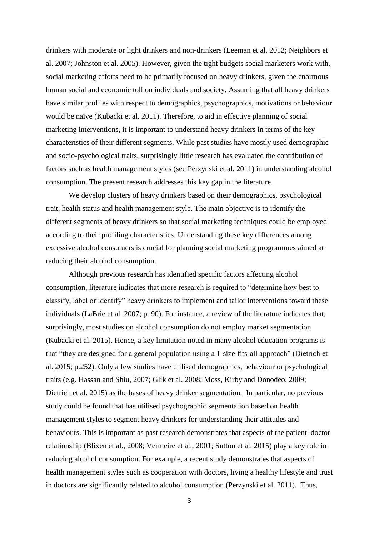drinkers with moderate or light drinkers and non-drinkers (Leeman et al. 2012; Neighbors et al. 2007; Johnston et al. 2005). However, given the tight budgets social marketers work with, social marketing efforts need to be primarily focused on heavy drinkers, given the enormous human social and economic toll on individuals and society. Assuming that all heavy drinkers have similar profiles with respect to demographics, psychographics, motivations or behaviour would be naïve (Kubacki et al. 2011). Therefore, to aid in effective planning of social marketing interventions, it is important to understand heavy drinkers in terms of the key characteristics of their different segments. While past studies have mostly used demographic and socio-psychological traits, surprisingly little research has evaluated the contribution of factors such as health management styles (see Perzynski et al. 2011) in understanding alcohol consumption. The present research addresses this key gap in the literature.

We develop clusters of heavy drinkers based on their demographics, psychological trait, health status and health management style. The main objective is to identify the different segments of heavy drinkers so that social marketing techniques could be employed according to their profiling characteristics. Understanding these key differences among excessive alcohol consumers is crucial for planning social marketing programmes aimed at reducing their alcohol consumption.

Although previous research has identified specific factors affecting alcohol consumption, literature indicates that more research is required to "determine how best to classify, label or identify" heavy drinkers to implement and tailor interventions toward these individuals (LaBrie et al. 2007; p. 90). For instance, a review of the literature indicates that, surprisingly, most studies on alcohol consumption do not employ market segmentation (Kubacki et al. 2015). Hence, a key limitation noted in many alcohol education programs is that "they are designed for a general population using a 1-size-fits-all approach" (Dietrich et al. 2015; p.252). Only a few studies have utilised demographics, behaviour or psychological traits (e.g. Hassan and Shiu, 2007; Glik et al. 2008; Moss, Kirby and Donodeo, 2009; Dietrich et al. 2015) as the bases of heavy drinker segmentation. In particular, no previous study could be found that has utilised psychographic segmentation based on health management styles to segment heavy drinkers for understanding their attitudes and behaviours. This is important as past research demonstrates that aspects of the patient–doctor relationship (Blixen et al., 2008; Vermeire et al., 2001; Sutton et al. 2015) play a key role in reducing alcohol consumption. For example, a recent study demonstrates that aspects of health management styles such as cooperation with doctors, living a healthy lifestyle and trust in doctors are significantly related to alcohol consumption (Perzynski et al. 2011). Thus,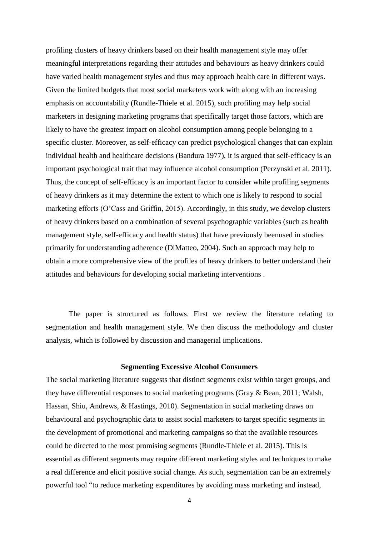profiling clusters of heavy drinkers based on their health management style may offer meaningful interpretations regarding their attitudes and behaviours as heavy drinkers could have varied health management styles and thus may approach health care in different ways. Given the limited budgets that most social marketers work with along with an increasing emphasis on accountability (Rundle-Thiele et al. 2015), such profiling may help social marketers in designing marketing programs that specifically target those factors, which are likely to have the greatest impact on alcohol consumption among people belonging to a specific cluster. Moreover, as self-efficacy can predict psychological changes that can explain individual health and healthcare decisions (Bandura 1977), it is argued that self-efficacy is an important psychological trait that may influence alcohol consumption (Perzynski et al. 2011). Thus, the concept of self-efficacy is an important factor to consider while profiling segments of heavy drinkers as it may determine the extent to which one is likely to respond to social marketing efforts (O'Cass and Griffin, 2015). Accordingly, in this study, we develop clusters of heavy drinkers based on a combination of several psychographic variables (such as health management style, self-efficacy and health status) that have previously beenused in studies primarily for understanding adherence (DiMatteo, 2004). Such an approach may help to obtain a more comprehensive view of the profiles of heavy drinkers to better understand their attitudes and behaviours for developing social marketing interventions .

The paper is structured as follows. First we review the literature relating to segmentation and health management style. We then discuss the methodology and cluster analysis, which is followed by discussion and managerial implications.

#### **Segmenting Excessive Alcohol Consumers**

The social marketing literature suggests that distinct segments exist within target groups, and they have differential responses to social marketing programs (Gray & Bean, 2011; Walsh, Hassan, Shiu, Andrews, & Hastings, 2010). Segmentation in social marketing draws on behavioural and psychographic data to assist social marketers to target specific segments in the development of promotional and marketing campaigns so that the available resources could be directed to the most promising segments (Rundle-Thiele et al. 2015). This is essential as different segments may require different marketing styles and techniques to make a real difference and elicit positive social change. As such, segmentation can be an extremely powerful tool "to reduce marketing expenditures by avoiding mass marketing and instead,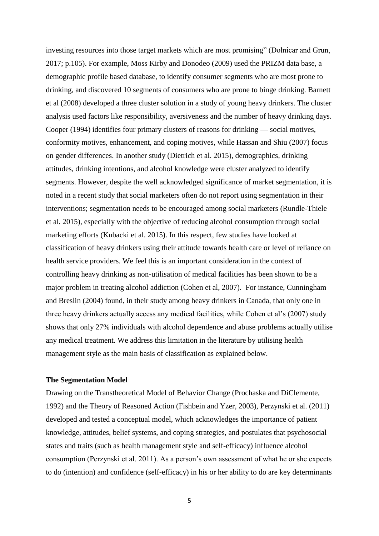investing resources into those target markets which are most promising" (Dolnicar and Grun, 2017; p.105). For example, Moss Kirby and Donodeo (2009) used the PRIZM data base, a demographic profile based database, to identify consumer segments who are most prone to drinking, and discovered 10 segments of consumers who are prone to binge drinking. Barnett et al (2008) developed a three cluster solution in a study of young heavy drinkers. The cluster analysis used factors like responsibility, aversiveness and the number of heavy drinking days. Cooper (1994) identifies four primary clusters of reasons for drinking — social motives, conformity motives, enhancement, and coping motives, while Hassan and Shiu (2007) focus on gender differences. In another study (Dietrich et al. 2015), demographics, drinking attitudes, drinking intentions, and alcohol knowledge were cluster analyzed to identify segments. However, despite the well acknowledged significance of market segmentation, it is noted in a recent study that social marketers often do not report using segmentation in their interventions; segmentation needs to be encouraged among social marketers (Rundle-Thiele et al. 2015), especially with the objective of reducing alcohol consumption through social marketing efforts (Kubacki et al. 2015). In this respect, few studies have looked at classification of heavy drinkers using their attitude towards health care or level of reliance on health service providers. We feel this is an important consideration in the context of controlling heavy drinking as non-utilisation of medical facilities has been shown to be a major problem in treating alcohol addiction (Cohen et al, 2007). For instance, Cunningham and Breslin (2004) found, in their study among heavy drinkers in Canada, that only one in three heavy drinkers actually access any medical facilities, while Cohen et al's (2007) study shows that only 27% individuals with alcohol dependence and abuse problems actually utilise any medical treatment. We address this limitation in the literature by utilising health management style as the main basis of classification as explained below.

#### **The Segmentation Model**

Drawing on the Transtheoretical Model of Behavior Change (Prochaska and DiClemente, 1992) and the Theory of Reasoned Action (Fishbein and Yzer, 2003), Perzynski et al. (2011) developed and tested a conceptual model, which acknowledges the importance of patient knowledge, attitudes, belief systems, and coping strategies, and postulates that psychosocial states and traits (such as health management style and self-efficacy) influence alcohol consumption (Perzynski et al. 2011). As a person's own assessment of what he or she expects to do (intention) and confidence (self-efficacy) in his or her ability to do are key determinants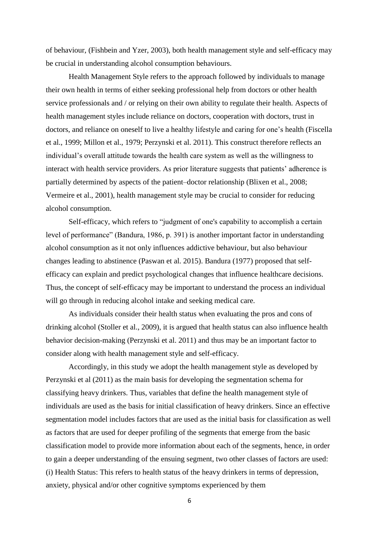of behaviour, (Fishbein and Yzer, 2003), both health management style and self-efficacy may be crucial in understanding alcohol consumption behaviours.

Health Management Style refers to the approach followed by individuals to manage their own health in terms of either seeking professional help from doctors or other health service professionals and / or relying on their own ability to regulate their health. Aspects of health management styles include reliance on doctors, cooperation with doctors, trust in doctors, and reliance on oneself to live a healthy lifestyle and caring for one's health (Fiscella et al., 1999; Millon et al., 1979; Perzynski et al. 2011). This construct therefore reflects an individual's overall attitude towards the health care system as well as the willingness to interact with health service providers. As prior literature suggests that patients' adherence is partially determined by aspects of the patient–doctor relationship (Blixen et al., 2008; Vermeire et al., 2001), health management style may be crucial to consider for reducing alcohol consumption.

Self-efficacy, which refers to "judgment of one's capability to accomplish a certain level of performance" (Bandura, 1986, p. 391) is another important factor in understanding alcohol consumption as it not only influences addictive behaviour, but also behaviour changes leading to abstinence (Paswan et al. 2015). Bandura (1977) proposed that selfefficacy can explain and predict psychological changes that influence healthcare decisions. Thus, the concept of self-efficacy may be important to understand the process an individual will go through in reducing alcohol intake and seeking medical care.

As individuals consider their health status when evaluating the pros and cons of drinking alcohol (Stoller et al., 2009), it is argued that health status can also influence health behavior decision-making (Perzynski et al. 2011) and thus may be an important factor to consider along with health management style and self-efficacy.

Accordingly, in this study we adopt the health management style as developed by Perzynski et al (2011) as the main basis for developing the segmentation schema for classifying heavy drinkers. Thus, variables that define the health management style of individuals are used as the basis for initial classification of heavy drinkers. Since an effective segmentation model includes factors that are used as the initial basis for classification as well as factors that are used for deeper profiling of the segments that emerge from the basic classification model to provide more information about each of the segments, hence, in order to gain a deeper understanding of the ensuing segment, two other classes of factors are used: (i) Health Status: This refers to health status of the heavy drinkers in terms of depression, anxiety, physical and/or other cognitive symptoms experienced by them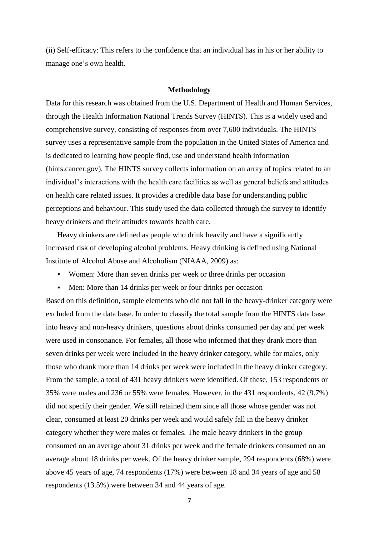(ii) Self-efficacy: This refers to the confidence that an individual has in his or her ability to manage one's own health.

#### **Methodology**

Data for this research was obtained from the U.S. Department of Health and Human Services, through the Health Information National Trends Survey (HINTS). This is a widely used and comprehensive survey, consisting of responses from over 7,600 individuals. The HINTS survey uses a representative sample from the population in the United States of America and is dedicated to learning how people find, use and understand health information (hints.cancer.gov). The HINTS survey collects information on an array of topics related to an individual's interactions with the health care facilities as well as general beliefs and attitudes on health care related issues. It provides a credible data base for understanding public perceptions and behaviour. This study used the data collected through the survey to identify heavy drinkers and their attitudes towards health care.

Heavy drinkers are defined as people who drink heavily and have a significantly increased risk of developing alcohol problems. Heavy drinking is defined using National Institute of Alcohol Abuse and Alcoholism (NIAAA, 2009) as:

- Women: More than seven drinks per week or three drinks per occasion
- Men: More than 14 drinks per week or four drinks per occasion

Based on this definition, sample elements who did not fall in the heavy-drinker category were excluded from the data base. In order to classify the total sample from the HINTS data base into heavy and non-heavy drinkers, questions about drinks consumed per day and per week were used in consonance. For females, all those who informed that they drank more than seven drinks per week were included in the heavy drinker category, while for males, only those who drank more than 14 drinks per week were included in the heavy drinker category. From the sample, a total of 431 heavy drinkers were identified. Of these, 153 respondents or 35% were males and 236 or 55% were females. However, in the 431 respondents, 42 (9.7%) did not specify their gender. We still retained them since all those whose gender was not clear, consumed at least 20 drinks per week and would safely fall in the heavy drinker category whether they were males or females. The male heavy drinkers in the group consumed on an average about 31 drinks per week and the female drinkers consumed on an average about 18 drinks per week. Of the heavy drinker sample, 294 respondents (68%) were above 45 years of age, 74 respondents (17%) were between 18 and 34 years of age and 58 respondents (13.5%) were between 34 and 44 years of age.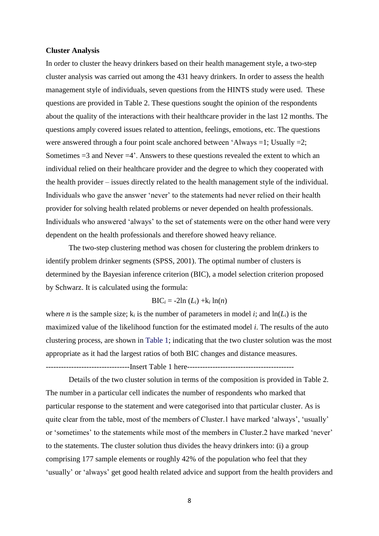#### **Cluster Analysis**

In order to cluster the heavy drinkers based on their health management style, a two-step cluster analysis was carried out among the 431 heavy drinkers. In order to assess the health management style of individuals, seven questions from the HINTS study were used. These questions are provided in Table 2. These questions sought the opinion of the respondents about the quality of the interactions with their healthcare provider in the last 12 months. The questions amply covered issues related to attention, feelings, emotions, etc. The questions were answered through a four point scale anchored between 'Always =1; Usually =2; Sometimes  $=3$  and Never  $=4'$ . Answers to these questions revealed the extent to which an individual relied on their healthcare provider and the degree to which they cooperated with the health provider – issues directly related to the health management style of the individual. Individuals who gave the answer 'never' to the statements had never relied on their health provider for solving health related problems or never depended on health professionals. Individuals who answered 'always' to the set of statements were on the other hand were very dependent on the health professionals and therefore showed heavy reliance.

The two-step clustering method was chosen for clustering the problem drinkers to identify problem drinker segments (SPSS, 2001). The optimal number of clusters is determined by the Bayesian inference criterion (BIC), a model selection criterion proposed by Schwarz. It is calculated using the formula:

#### $BIC_i = -2ln(L_i) + k_i ln(n)$

where *n* is the sample size;  $k_i$  is the number of parameters in model *i*; and  $ln(L_i)$  is the maximized value of the likelihood function for the estimated model *i*. The results of the auto clustering process, are shown in Table 1; indicating that the two cluster solution was the most appropriate as it had the largest ratios of both BIC changes and distance measures.

---------------------------------Insert Table 1 here------------------------------------------

Details of the two cluster solution in terms of the composition is provided in Table 2. The number in a particular cell indicates the number of respondents who marked that particular response to the statement and were categorised into that particular cluster. As is quite clear from the table, most of the members of Cluster.1 have marked 'always', 'usually' or 'sometimes' to the statements while most of the members in Cluster.2 have marked 'never' to the statements. The cluster solution thus divides the heavy drinkers into: (i) a group comprising 177 sample elements or roughly 42% of the population who feel that they 'usually' or 'always' get good health related advice and support from the health providers and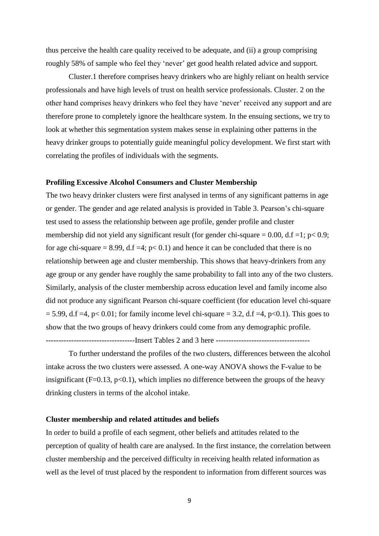thus perceive the health care quality received to be adequate, and (ii) a group comprising roughly 58% of sample who feel they 'never' get good health related advice and support.

Cluster.1 therefore comprises heavy drinkers who are highly reliant on health service professionals and have high levels of trust on health service professionals. Cluster. 2 on the other hand comprises heavy drinkers who feel they have 'never' received any support and are therefore prone to completely ignore the healthcare system. In the ensuing sections, we try to look at whether this segmentation system makes sense in explaining other patterns in the heavy drinker groups to potentially guide meaningful policy development. We first start with correlating the profiles of individuals with the segments.

#### **Profiling Excessive Alcohol Consumers and Cluster Membership**

The two heavy drinker clusters were first analysed in terms of any significant patterns in age or gender. The gender and age related analysis is provided in Table 3. Pearson's chi-square test used to assess the relationship between age profile, gender profile and cluster membership did not yield any significant result (for gender chi-square  $= 0.00$ , d.f  $= 1$ ; p $< 0.9$ ; for age chi-square = 8.99, d.f =4;  $p < 0.1$ ) and hence it can be concluded that there is no relationship between age and cluster membership. This shows that heavy-drinkers from any age group or any gender have roughly the same probability to fall into any of the two clusters. Similarly, analysis of the cluster membership across education level and family income also did not produce any significant Pearson chi-square coefficient (for education level chi-square  $= 5.99$ , d.f =4, p< 0.01; for family income level chi-square = 3.2, d.f =4, p<0.1). This goes to show that the two groups of heavy drinkers could come from any demographic profile.

-----------------------------------Insert Tables 2 and 3 here -------------------------------------

To further understand the profiles of the two clusters, differences between the alcohol intake across the two clusters were assessed. A one-way ANOVA shows the F-value to be insignificant (F=0.13,  $p<0.1$ ), which implies no difference between the groups of the heavy drinking clusters in terms of the alcohol intake.

#### **Cluster membership and related attitudes and beliefs**

In order to build a profile of each segment, other beliefs and attitudes related to the perception of quality of health care are analysed. In the first instance, the correlation between cluster membership and the perceived difficulty in receiving health related information as well as the level of trust placed by the respondent to information from different sources was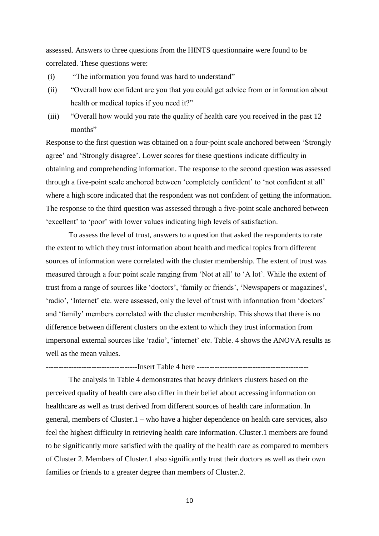assessed. Answers to three questions from the HINTS questionnaire were found to be correlated. These questions were:

- (i) "The information you found was hard to understand"
- (ii) "Overall how confident are you that you could get advice from or information about health or medical topics if you need it?"
- (iii) "Overall how would you rate the quality of health care you received in the past 12 months"

Response to the first question was obtained on a four-point scale anchored between 'Strongly agree' and 'Strongly disagree'. Lower scores for these questions indicate difficulty in obtaining and comprehending information. The response to the second question was assessed through a five-point scale anchored between 'completely confident' to 'not confident at all' where a high score indicated that the respondent was not confident of getting the information. The response to the third question was assessed through a five-point scale anchored between 'excellent' to 'poor' with lower values indicating high levels of satisfaction.

To assess the level of trust, answers to a question that asked the respondents to rate the extent to which they trust information about health and medical topics from different sources of information were correlated with the cluster membership. The extent of trust was measured through a four point scale ranging from 'Not at all' to 'A lot'. While the extent of trust from a range of sources like 'doctors', 'family or friends', 'Newspapers or magazines', 'radio', 'Internet' etc. were assessed, only the level of trust with information from 'doctors' and 'family' members correlated with the cluster membership. This shows that there is no difference between different clusters on the extent to which they trust information from impersonal external sources like 'radio', 'internet' etc. Table. 4 shows the ANOVA results as well as the mean values.

------------------------------------Insert Table 4 here --------------------------------------------

The analysis in Table 4 demonstrates that heavy drinkers clusters based on the perceived quality of health care also differ in their belief about accessing information on healthcare as well as trust derived from different sources of health care information. In general, members of Cluster.1 – who have a higher dependence on health care services, also feel the highest difficulty in retrieving health care information. Cluster.1 members are found to be significantly more satisfied with the quality of the health care as compared to members of Cluster 2. Members of Cluster.1 also significantly trust their doctors as well as their own families or friends to a greater degree than members of Cluster.2.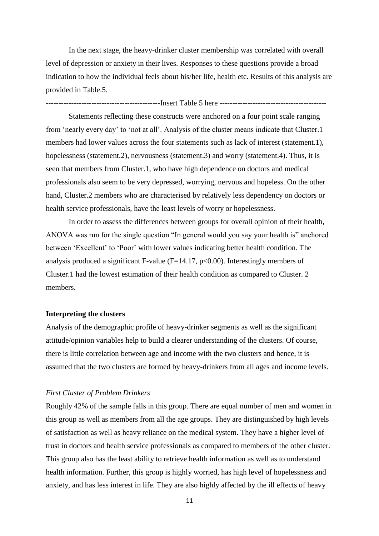In the next stage, the heavy-drinker cluster membership was correlated with overall level of depression or anxiety in their lives. Responses to these questions provide a broad indication to how the individual feels about his/her life, health etc. Results of this analysis are provided in Table.5.

---------------------------------------------Insert Table 5 here ------------------------------------------

Statements reflecting these constructs were anchored on a four point scale ranging from 'nearly every day' to 'not at all'. Analysis of the cluster means indicate that Cluster.1 members had lower values across the four statements such as lack of interest (statement.1), hopelessness (statement.2), nervousness (statement.3) and worry (statement.4). Thus, it is seen that members from Cluster.1, who have high dependence on doctors and medical professionals also seem to be very depressed, worrying, nervous and hopeless. On the other hand, Cluster.2 members who are characterised by relatively less dependency on doctors or health service professionals, have the least levels of worry or hopelessness.

In order to assess the differences between groups for overall opinion of their health, ANOVA was run for the single question "In general would you say your health is" anchored between 'Excellent' to 'Poor' with lower values indicating better health condition. The analysis produced a significant F-value  $(F=14.17, p<0.00)$ . Interestingly members of Cluster.1 had the lowest estimation of their health condition as compared to Cluster. 2 members.

#### **Interpreting the clusters**

Analysis of the demographic profile of heavy-drinker segments as well as the significant attitude/opinion variables help to build a clearer understanding of the clusters. Of course, there is little correlation between age and income with the two clusters and hence, it is assumed that the two clusters are formed by heavy-drinkers from all ages and income levels.

#### *First Cluster of Problem Drinkers*

Roughly 42% of the sample falls in this group. There are equal number of men and women in this group as well as members from all the age groups. They are distinguished by high levels of satisfaction as well as heavy reliance on the medical system. They have a higher level of trust in doctors and health service professionals as compared to members of the other cluster. This group also has the least ability to retrieve health information as well as to understand health information. Further, this group is highly worried, has high level of hopelessness and anxiety, and has less interest in life. They are also highly affected by the ill effects of heavy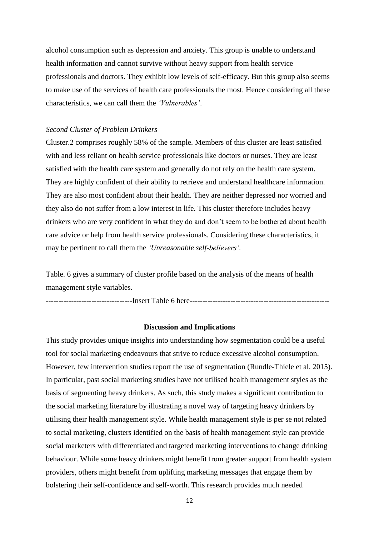alcohol consumption such as depression and anxiety. This group is unable to understand health information and cannot survive without heavy support from health service professionals and doctors. They exhibit low levels of self-efficacy. But this group also seems to make use of the services of health care professionals the most. Hence considering all these characteristics, we can call them the *'Vulnerables'*.

#### *Second Cluster of Problem Drinkers*

Cluster.2 comprises roughly 58% of the sample. Members of this cluster are least satisfied with and less reliant on health service professionals like doctors or nurses. They are least satisfied with the health care system and generally do not rely on the health care system. They are highly confident of their ability to retrieve and understand healthcare information. They are also most confident about their health. They are neither depressed nor worried and they also do not suffer from a low interest in life. This cluster therefore includes heavy drinkers who are very confident in what they do and don't seem to be bothered about health care advice or help from health service professionals. Considering these characteristics, it may be pertinent to call them the *'Unreasonable self-believers'.*

Table. 6 gives a summary of cluster profile based on the analysis of the means of health management style variables.

----------------------------------Insert Table 6 here-------------------------------------------------------

#### **Discussion and Implications**

This study provides unique insights into understanding how segmentation could be a useful tool for social marketing endeavours that strive to reduce excessive alcohol consumption. However, few intervention studies report the use of segmentation (Rundle-Thiele et al. 2015). In particular, past social marketing studies have not utilised health management styles as the basis of segmenting heavy drinkers. As such, this study makes a significant contribution to the social marketing literature by illustrating a novel way of targeting heavy drinkers by utilising their health management style. While health management style is per se not related to social marketing, clusters identified on the basis of health management style can provide social marketers with differentiated and targeted marketing interventions to change drinking behaviour. While some heavy drinkers might benefit from greater support from health system providers, others might benefit from uplifting marketing messages that engage them by bolstering their self-confidence and self-worth. This research provides much needed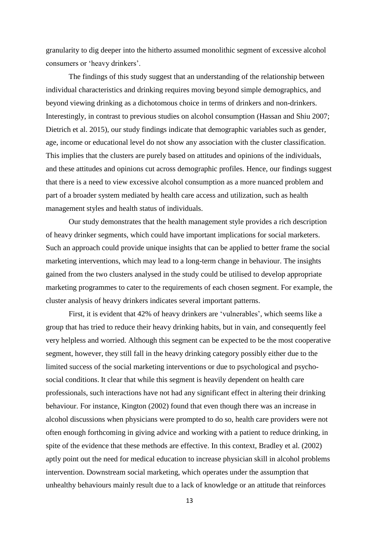granularity to dig deeper into the hitherto assumed monolithic segment of excessive alcohol consumers or 'heavy drinkers'.

The findings of this study suggest that an understanding of the relationship between individual characteristics and drinking requires moving beyond simple demographics, and beyond viewing drinking as a dichotomous choice in terms of drinkers and non-drinkers. Interestingly, in contrast to previous studies on alcohol consumption (Hassan and Shiu 2007; Dietrich et al. 2015), our study findings indicate that demographic variables such as gender, age, income or educational level do not show any association with the cluster classification. This implies that the clusters are purely based on attitudes and opinions of the individuals, and these attitudes and opinions cut across demographic profiles. Hence, our findings suggest that there is a need to view excessive alcohol consumption as a more nuanced problem and part of a broader system mediated by health care access and utilization, such as health management styles and health status of individuals.

Our study demonstrates that the health management style provides a rich description of heavy drinker segments, which could have important implications for social marketers. Such an approach could provide unique insights that can be applied to better frame the social marketing interventions, which may lead to a long-term change in behaviour. The insights gained from the two clusters analysed in the study could be utilised to develop appropriate marketing programmes to cater to the requirements of each chosen segment. For example, the cluster analysis of heavy drinkers indicates several important patterns.

First, it is evident that 42% of heavy drinkers are 'vulnerables', which seems like a group that has tried to reduce their heavy drinking habits, but in vain, and consequently feel very helpless and worried. Although this segment can be expected to be the most cooperative segment, however, they still fall in the heavy drinking category possibly either due to the limited success of the social marketing interventions or due to psychological and psychosocial conditions. It clear that while this segment is heavily dependent on health care professionals, such interactions have not had any significant effect in altering their drinking behaviour. For instance, Kington (2002) found that even though there was an increase in alcohol discussions when physicians were prompted to do so, health care providers were not often enough forthcoming in giving advice and working with a patient to reduce drinking, in spite of the evidence that these methods are effective. In this context, Bradley et al. (2002) aptly point out the need for medical education to increase physician skill in alcohol problems intervention. Downstream social marketing, which operates under the assumption that unhealthy behaviours mainly result due to a lack of knowledge or an attitude that reinforces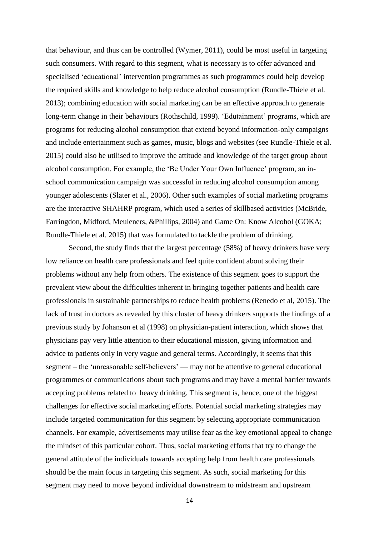that behaviour, and thus can be controlled (Wymer, 2011), could be most useful in targeting such consumers. With regard to this segment, what is necessary is to offer advanced and specialised 'educational' intervention programmes as such programmes could help develop the required skills and knowledge to help reduce alcohol consumption (Rundle-Thiele et al. 2013); combining education with social marketing can be an effective approach to generate long-term change in their behaviours (Rothschild, 1999). 'Edutainment' programs, which are programs for reducing alcohol consumption that extend beyond information-only campaigns and include entertainment such as games, music, blogs and websites (see Rundle-Thiele et al. 2015) could also be utilised to improve the attitude and knowledge of the target group about alcohol consumption. For example, the 'Be Under Your Own Influence' program, an inschool communication campaign was successful in reducing alcohol consumption among younger adolescents (Slater et al., 2006). Other such examples of social marketing programs are the interactive SHAHRP program, which used a series of skillbased activities (McBride, Farringdon, Midford, Meuleners, &Phillips, 2004) and Game On: Know Alcohol (GOKA; Rundle-Thiele et al. 2015) that was formulated to tackle the problem of drinking.

Second, the study finds that the largest percentage (58%) of heavy drinkers have very low reliance on health care professionals and feel quite confident about solving their problems without any help from others. The existence of this segment goes to support the prevalent view about the difficulties inherent in bringing together patients and health care professionals in sustainable partnerships to reduce health problems (Renedo et al, 2015). The lack of trust in doctors as revealed by this cluster of heavy drinkers supports the findings of a previous study by Johanson et al (1998) on physician-patient interaction, which shows that physicians pay very little attention to their educational mission, giving information and advice to patients only in very vague and general terms. Accordingly, it seems that this segment – the 'unreasonable self-believers' — may not be attentive to general educational programmes or communications about such programs and may have a mental barrier towards accepting problems related to heavy drinking. This segment is, hence, one of the biggest challenges for effective social marketing efforts. Potential social marketing strategies may include targeted communication for this segment by selecting appropriate communication channels. For example, advertisements may utilise fear as the key emotional appeal to change the mindset of this particular cohort. Thus, social marketing efforts that try to change the general attitude of the individuals towards accepting help from health care professionals should be the main focus in targeting this segment. As such, social marketing for this segment may need to move beyond individual downstream to midstream and upstream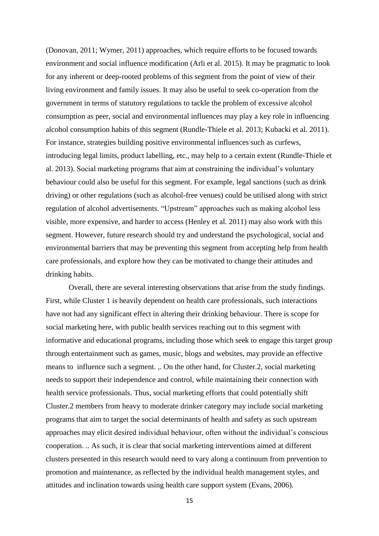(Donovan, 2011; Wymer, 2011) approaches, which require efforts to be focused towards environment and social influence modification (Arli et al. 2015). It may be pragmatic to look for any inherent or deep-rooted problems of this segment from the point of view of their living environment and family issues. It may also be useful to seek co-operation from the government in terms of statutory regulations to tackle the problem of excessive alcohol consumption as peer, social and environmental influences may play a key role in influencing alcohol consumption habits of this segment (Rundle-Thiele et al. 2013; Kubacki et al. 2011). For instance, strategies building positive environmental influences such as curfews, introducing legal limits, product labelling, etc., may help to a certain extent (Rundle-Thiele et al. 2013). Social marketing programs that aim at constraining the individual's voluntary behaviour could also be useful for this segment. For example, legal sanctions (such as drink driving) or other regulations (such as alcohol-free venues) could be utilised along with strict regulation of alcohol advertisements. "Upstream" approaches such as making alcohol less visible, more expensive, and harder to access (Henley et al. 2011) may also work with this segment. However, future research should try and understand the psychological, social and environmental barriers that may be preventing this segment from accepting help from health care professionals, and explore how they can be motivated to change their attitudes and drinking habits.

Overall, there are several interesting observations that arise from the study findings. First, while Cluster 1 is heavily dependent on health care professionals, such interactions have not had any significant effect in altering their drinking behaviour. There is scope for social marketing here, with public health services reaching out to this segment with informative and educational programs, including those which seek to engage this target group through entertainment such as games, music, blogs and websites, may provide an effective means to influence such a segment. ,. On the other hand, for Cluster.2, social marketing needs to support their independence and control, while maintaining their connection with health service professionals. Thus, social marketing efforts that could potentially shift Cluster.2 members from heavy to moderate drinker category may include social marketing programs that aim to target the social determinants of health and safety as such upstream approaches may elicit desired individual behaviour, often without the individual's conscious cooperation. .. As such, it is clear that social marketing interventions aimed at different clusters presented in this research would need to vary along a continuum from prevention to promotion and maintenance, as reflected by the individual health management styles, and attitudes and inclination towards using health care support system (Evans, 2006).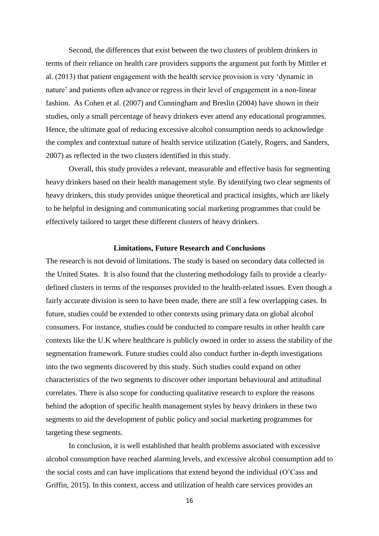Second, the differences that exist between the two clusters of problem drinkers in terms of their reliance on health care providers supports the argument put forth by Mittler et al. (2013) that patient engagement with the health service provision is very 'dynamic in nature' and patients often advance or regress in their level of engagement in a non-linear fashion. As Cohen et al. (2007) and Cunningham and Breslin (2004) have shown in their studies, only a small percentage of heavy drinkers ever attend any educational programmes. Hence, the ultimate goal of reducing excessive alcohol consumption needs to acknowledge the complex and contextual nature of health service utilization (Gately, Rogers, and Sanders, 2007) as reflected in the two clusters identified in this study.

Overall, this study provides a relevant, measurable and effective basis for segmenting heavy drinkers based on their health management style. By identifying two clear segments of heavy drinkers, this study provides unique theoretical and practical insights, which are likely to be helpful in designing and communicating social marketing programmes that could be effectively tailored to target these different clusters of heavy drinkers.

#### **Limitations, Future Research and Conclusions**

The research is not devoid of limitations. The study is based on secondary data collected in the United States. It is also found that the clustering methodology fails to provide a clearlydefined clusters in terms of the responses provided to the health-related issues. Even though a fairly accurate division is seen to have been made, there are still a few overlapping cases. In future, studies could be extended to other contexts using primary data on global alcohol consumers. For instance, studies could be conducted to compare results in other health care contexts like the U.K where healthcare is publicly owned in order to assess the stability of the segmentation framework. Future studies could also conduct further in-depth investigations into the two segments discovered by this study. Such studies could expand on other characteristics of the two segments to discover other important behavioural and attitudinal correlates. There is also scope for conducting qualitative research to explore the reasons behind the adoption of specific health management styles by heavy drinkers in these two segments to aid the development of public policy and social marketing programmes for targeting these segments.

In conclusion, it is well established that health problems associated with excessive alcohol consumption have reached alarming levels, and excessive alcohol consumption add to the social costs and can have implications that extend beyond the individual (O'Cass and Griffin, 2015). In this context, access and utilization of health care services provides an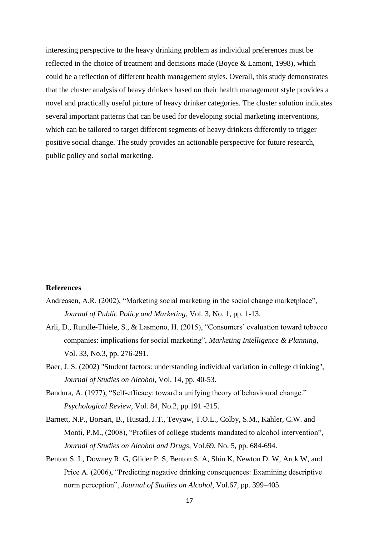interesting perspective to the heavy drinking problem as individual preferences must be reflected in the choice of treatment and decisions made (Boyce & Lamont, 1998), which could be a reflection of different health management styles. Overall, this study demonstrates that the cluster analysis of heavy drinkers based on their health management style provides a novel and practically useful picture of heavy drinker categories. The cluster solution indicates several important patterns that can be used for developing social marketing interventions, which can be tailored to target different segments of heavy drinkers differently to trigger positive social change. The study provides an actionable perspective for future research, public policy and social marketing.

#### **References**

- Andreasen, A.R. (2002), "Marketing social marketing in the social change marketplace", *Journal of Public Policy and Marketing*, Vol. 3, No. 1, pp. 1-13.
- Arli, D., Rundle-Thiele, S., & Lasmono, H. (2015), "Consumers' evaluation toward tobacco companies: implications for social marketing", *Marketing Intelligence & Planning*, Vol. 33, No.3, pp. 276-291.
- Baer, J. S. (2002) "Student factors: understanding individual variation in college drinking", *Journal of Studies on Alcohol*, Vol. 14, pp. 40-53.
- Bandura, A. (1977), "Self-efficacy: toward a unifying theory of behavioural change." *Psychological Review*, Vol. 84, No.2, pp.191 -215.
- Barnett, N.P., Borsari, B., Hustad, J.T., Tevyaw, T.O.L., Colby, S.M., Kahler, C.W. and Monti, P.M., (2008), "Profiles of college students mandated to alcohol intervention", *Journal of Studies on Alcohol and Drugs*, Vol.69, No. 5, pp. 684-694.
- Benton S. L, Downey R. G, Glider P. S, Benton S. A, Shin K, Newton D. W, Arck W, and Price A. (2006), "Predicting negative drinking consequences: Examining descriptive norm perception", *Journal of Studies on Alcohol*, Vol.67, pp. 399–405.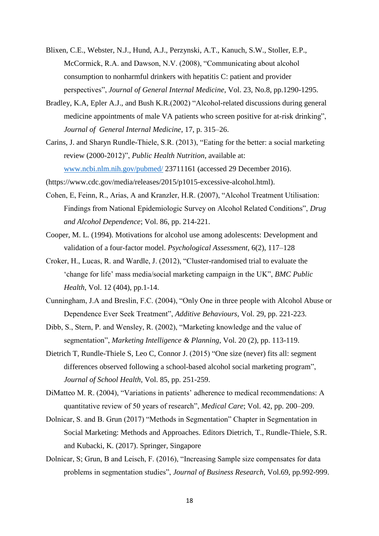- Blixen, C.E., Webster, N.J., Hund, A.J., Perzynski, A.T., Kanuch, S.W., Stoller, E.P., McCormick, R.A. and Dawson, N.V. (2008), "Communicating about alcohol consumption to nonharmful drinkers with hepatitis C: patient and provider perspectives", *Journal of General Internal Medicine*, Vol. 23, No.8, pp.1290-1295.
- Bradley, K.A, Epler A.J., and Bush K.R.(2002) "Alcohol-related discussions during general medicine appointments of male VA patients who screen positive for at-risk drinking", *Journal of General Internal Medicine*, 17, p. 315–26.
- Carins, J. and Sharyn Rundle-Thiele, S.R. (2013), "Eating for the better: a social marketing review (2000-2012)", *Public Health Nutrition*, available at: [www.ncbi.nlm.nih.gov/pubmed/](http://www.ncbi.nlm.nih.gov/pubmed/) 23711161 (accessed 29 December 2016).
- (https://www.cdc.gov/media/releases/2015/p1015-excessive-alcohol.html).
- Cohen, E, Feinn, R., Arias, A and Kranzler, H.R. (2007), "Alcohol Treatment Utilisation: Findings from National Epidemiologic Survey on Alcohol Related Conditions", *Drug and Alcohol Dependence*; Vol. 86, pp. 214-221.
- Cooper, M. L. (1994). Motivations for alcohol use among adolescents: Development and validation of a four-factor model. *Psychological Assessment*, 6(2), 117–128
- Croker, H., Lucas, R. and Wardle, J. (2012), "Cluster-randomised trial to evaluate the 'change for life' mass media/social marketing campaign in the UK", *BMC Public Health*, Vol. 12 (404), pp.1-14.
- Cunningham, J.A and Breslin, F.C. (2004), "Only One in three people with Alcohol Abuse or Dependence Ever Seek Treatment", *Additive Behaviours,* Vol. 29, pp. 221-223.
- Dibb, S., Stern, P. and Wensley, R. (2002), "Marketing knowledge and the value of segmentation", *Marketing Intelligence & Planning*, Vol. 20 (2), pp. 113-119.
- Dietrich T, Rundle-Thiele S, Leo C, Connor J. (2015) "One size (never) fits all: segment differences observed following a school-based alcohol social marketing program", *Journal of School Health*, Vol. 85, pp. 251-259.
- DiMatteo M. R. (2004), "Variations in patients' adherence to medical recommendations: A quantitative review of 50 years of research", *Medical Care*; Vol. 42, pp. 200–209.
- Dolnicar, S. and B. Grun (2017) "Methods in Segmentation" Chapter in Segmentation in Social Marketing: Methods and Approaches. Editors Dietrich, T., Rundle-Thiele, S.R. and Kubacki, K. (2017). Springer, Singapore
- Dolnicar, S; Grun, B and Leisch, F. (2016), "Increasing Sample size compensates for data problems in segmentation studies", *Journal of Business Research*, Vol.69, pp.992-999.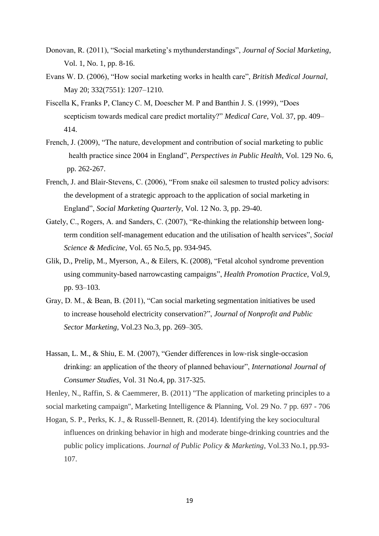- Donovan, R. (2011), "Social marketing's mythunderstandings", *Journal of Social Marketing*, Vol. 1, No. 1, pp. 8-16.
- Evans W. D. (2006), "How social marketing works in health care", *British Medical Journal*, May 20; 332(7551): 1207–1210.
- Fiscella K, Franks P, Clancy C. M, Doescher M. P and Banthin J. S. (1999), "Does scepticism towards medical care predict mortality?" *Medical Care*, Vol. 37, pp. 409– 414.
- French, J. (2009), "The nature, development and contribution of social marketing to public health practice since 2004 in England", *Perspectives in Public Health*, Vol. 129 No. 6, pp. 262-267.
- French, J. and Blair-Stevens, C. (2006), "From snake oil salesmen to trusted policy advisors: the development of a strategic approach to the application of social marketing in England", *Social Marketing Quarterly*, Vol. 12 No. 3, pp. 29-40.
- Gately, C., Rogers, A. and Sanders, C. (2007), "Re-thinking the relationship between longterm condition self-management education and the utilisation of health services", *Social Science & Medicine*, Vol. 65 No.5, pp. 934-945.
- Glik, D., Prelip, M., Myerson, A., & Eilers, K. (2008), "Fetal alcohol syndrome prevention using community-based narrowcasting campaigns", *Health Promotion Practice*, Vol.9, pp. 93–103.
- Gray, D. M., & Bean, B. (2011), "Can social marketing segmentation initiatives be used to increase household electricity conservation?", *Journal of Nonprofit and Public Sector Marketing*, Vol.23 No.3, pp. 269–305.
- Hassan, L. M., & Shiu, E. M. (2007), "Gender differences in low-risk single-occasion drinking: an application of the theory of planned behaviour", *International Journal of Consumer Studies*, Vol. 31 No.4, pp. 317-325.

Henley, N., Raffin, S. & Caemmerer, B. (2011) "The application of marketing principles to a social marketing campaign", Marketing Intelligence & Planning, Vol. 29 No. 7 pp. 697 - 706

Hogan, S. P., Perks, K. J., & Russell-Bennett, R. (2014). Identifying the key sociocultural influences on drinking behavior in high and moderate binge-drinking countries and the public policy implications. *Journal of Public Policy & Marketing*, Vol.33 No.1, pp.93- 107.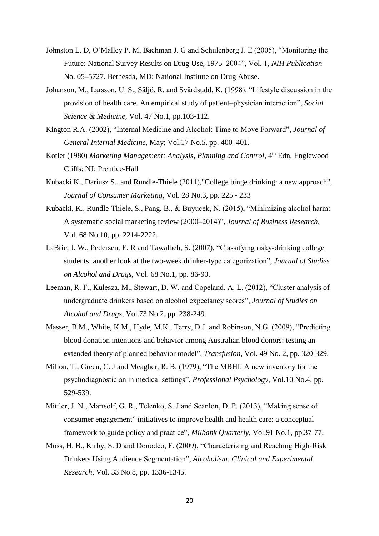- Johnston L. D, O'Malley P. M, Bachman J. G and Schulenberg J. E (2005), "Monitoring the Future: National Survey Results on Drug Use, 1975–2004", Vol. 1, *NIH Publication* No. 05–5727. Bethesda, MD: National Institute on Drug Abuse.
- Johanson, M., Larsson, U. S., Säljö, R. and Svärdsudd, K. (1998). "Lifestyle discussion in the provision of health care. An empirical study of patient–physician interaction", *Social Science & Medicine,* Vol. 47 No.1, pp.103-112.
- Kington R.A. (2002), "Internal Medicine and Alcohol: Time to Move Forward", *Journal of General Internal Medicine*, May; Vol.17 No.5, pp. 400–401.
- Kotler (1980) *Marketing Management: Analysis, Planning and Control*, 4<sup>th</sup> Edn, Englewood Cliffs: NJ: Prentice-Hall
- Kubacki K., Dariusz S., and Rundle-Thiele (2011),"College binge drinking: a new approach", *Journal of Consumer Marketing*, Vol. 28 No.3, pp. 225 - 233
- Kubacki, K., Rundle-Thiele, S., Pang, B., & Buyucek, N. (2015), "Minimizing alcohol harm: A systematic social marketing review (2000–2014)", *Journal of Business Research*, Vol. 68 No.10, pp. 2214-2222.
- LaBrie, J. W., Pedersen, E. R and Tawalbeh, S. (2007), "Classifying risky-drinking college students: another look at the two-week drinker-type categorization", *Journal of Studies on Alcohol and Drugs*, Vol. 68 No.1, pp. 86-90.
- Leeman, R. F., Kulesza, M., Stewart, D. W. and Copeland, A. L. (2012), "Cluster analysis of undergraduate drinkers based on alcohol expectancy scores", *Journal of Studies on Alcohol and Drugs*, Vol.73 No.2, pp. 238-249.
- Masser, B.M., White, K.M., Hyde, M.K., Terry, D.J. and Robinson, N.G. (2009), "Predicting blood donation intentions and behavior among Australian blood donors: testing an extended theory of planned behavior model", *Transfusion*, Vol. 49 No. 2, pp. 320-329.
- Millon, T., Green, C. J and Meagher, R. B. (1979), "The MBHI: A new inventory for the psychodiagnostician in medical settings", *Professional Psychology*, Vol.10 No.4, pp. 529-539.
- Mittler, J. N., Martsolf, G. R., Telenko, S. J and Scanlon, D. P. (2013), "Making sense of consumer engagement" initiatives to improve health and health care: a conceptual framework to guide policy and practice", *Milbank Quarterly*, Vol.91 No.1, pp.37-77.
- Moss, H. B., Kirby, S. D and Donodeo, F. (2009), "Characterizing and Reaching High-Risk Drinkers Using Audience Segmentation", *Alcoholism: Clinical and Experimental Research*, Vol. 33 No.8, pp. 1336-1345.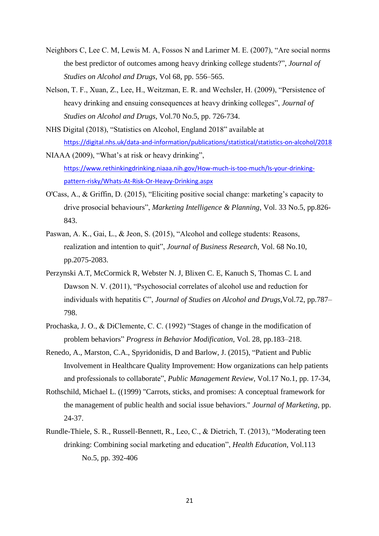- Neighbors C, Lee C. M, Lewis M. A, Fossos N and Larimer M. E. (2007), "Are social norms the best predictor of outcomes among heavy drinking college students?", *Journal of Studies on Alcohol and Drugs*, Vol 68, pp. 556–565.
- Nelson, T. F., Xuan, Z., Lee, H., Weitzman, E. R. and Wechsler, H. (2009), "Persistence of heavy drinking and ensuing consequences at heavy drinking colleges", *Journal of Studies on Alcohol and Drugs,* Vol.70 No.5, pp. 726-734.
- NHS Digital (2018), "Statistics on Alcohol, England 2018" available at <https://digital.nhs.uk/data-and-information/publications/statistical/statistics-on-alcohol/2018>
- NIAAA (2009), "What's at risk or heavy drinking", [https://www.rethinkingdrinking.niaaa.nih.gov/How-much-is-too-much/Is-your-drinking](https://www.rethinkingdrinking.niaaa.nih.gov/How-much-is-too-much/Is-your-drinking-pattern-risky/Whats-At-Risk-Or-Heavy-Drinking.aspx)[pattern-risky/Whats-At-Risk-Or-Heavy-Drinking.aspx](https://www.rethinkingdrinking.niaaa.nih.gov/How-much-is-too-much/Is-your-drinking-pattern-risky/Whats-At-Risk-Or-Heavy-Drinking.aspx)
- O'Cass, A., & Griffin, D. (2015), "Eliciting positive social change: marketing's capacity to drive prosocial behaviours", *Marketing Intelligence & Planning*, Vol. 33 No.5, pp.826- 843.
- Paswan, A. K., Gai, L., & Jeon, S. (2015), "Alcohol and college students: Reasons, realization and intention to quit", *Journal of Business Research*, Vol. 68 No.10, pp.2075-2083.
- Perzynski A.T, McCormick R, Webster N. J, Blixen C. E, Kanuch S, Thomas C. L and Dawson N. V. (2011), "Psychosocial correlates of alcohol use and reduction for individuals with hepatitis C", *Journal of Studies on Alcohol and Drugs*,Vol.72, pp.787– 798.
- Prochaska, J. O., & DiClemente, C. C. (1992) "Stages of change in the modification of problem behaviors" *Progress in Behavior Modification*, Vol. 28, pp.183–218.
- Renedo, A., Marston, C.A., Spyridonidis, D and Barlow, J. (2015), "Patient and Public Involvement in Healthcare Quality Improvement: How organizations can help patients and professionals to collaborate", *Public Management Review*, Vol.17 No.1, pp. 17-34,
- Rothschild, Michael L. ((1999) "Carrots, sticks, and promises: A conceptual framework for the management of public health and social issue behaviors." *Journal of Marketing,* pp. 24-37.
- Rundle-Thiele, S. R., Russell-Bennett, R., Leo, C., & Dietrich, T. (2013), "Moderating teen drinking: Combining social marketing and education", *Health Education*, Vol.113 No.5, pp. 392-406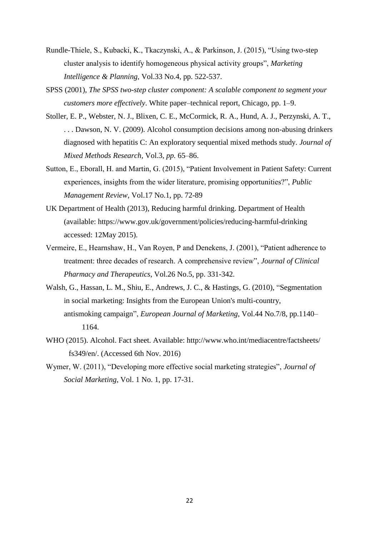- Rundle-Thiele, S., Kubacki, K., Tkaczynski, A., & Parkinson, J. (2015), "Using two-step cluster analysis to identify homogeneous physical activity groups", *Marketing Intelligence & Planning,* Vol.33 No.4, pp. 522-537.
- SPSS (2001), *The SPSS two-step cluster component: A scalable component to segment your customers more effectively*. White paper–technical report, Chicago, pp. 1–9.
- Stoller, E. P., Webster, N. J., Blixen, C. E., McCormick, R. A., Hund, A. J., Perzynski, A. T., . . . Dawson, N. V. (2009). Alcohol consumption decisions among non-abusing drinkers diagnosed with hepatitis C: An exploratory sequential mixed methods study. *Journal of Mixed Methods Research,* Vol.3, *pp.* 65–86.
- Sutton, E., Eborall, H. and Martin, G. (2015), "Patient Involvement in Patient Safety: Current experiences, insights from the wider literature, promising opportunities?", *Public Management Review*, Vol.17 No.1, pp. 72-89
- UK Department of Health (2013), Reducing harmful drinking. Department of Health (available: https://www.gov.uk/government/policies/reducing-harmful-drinking accessed: 12May 2015).
- Vermeire, E., Hearnshaw, H., Van Royen, P and Denekens, J. (2001), "Patient adherence to treatment: three decades of research. A comprehensive review", *Journal of Clinical Pharmacy and Therapeutics*, Vol.26 No.5, pp. 331-342.
- Walsh, G., Hassan, L. M., Shiu, E., Andrews, J. C., & Hastings, G. (2010), "Segmentation in social marketing: Insights from the European Union's multi-country, antismoking campaign", *European Journal of Marketing*, Vol.44 No.7/8, pp.1140– 1164.
- WHO (2015). Alcohol. Fact sheet. Available: http://www.who.int/mediacentre/factsheets/ fs349/en/. (Accessed 6th Nov. 2016)
- Wymer, W. (2011), "Developing more effective social marketing strategies", *Journal of Social Marketing*, Vol. 1 No. 1, pp. 17-31.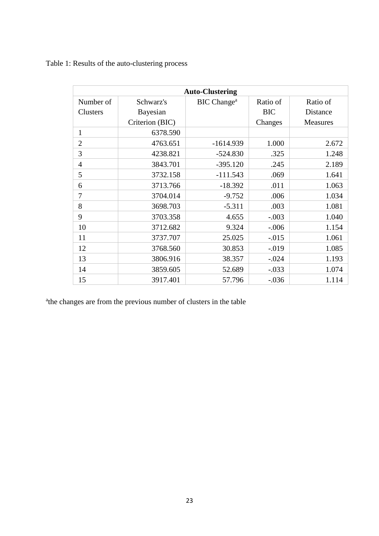# Table 1: Results of the auto-clustering process

| <b>Auto-Clustering</b> |                 |                         |            |                 |  |  |
|------------------------|-----------------|-------------------------|------------|-----------------|--|--|
| Number of              | Schwarz's       | BIC Change <sup>a</sup> | Ratio of   | Ratio of        |  |  |
| <b>Clusters</b>        | Bayesian        |                         | <b>BIC</b> | Distance        |  |  |
|                        | Criterion (BIC) |                         | Changes    | <b>Measures</b> |  |  |
| $\mathbf{1}$           | 6378.590        |                         |            |                 |  |  |
| $\overline{2}$         | 4763.651        | $-1614.939$             | 1.000      | 2.672           |  |  |
| 3                      | 4238.821        | $-524.830$              | .325       | 1.248           |  |  |
| $\overline{4}$         | 3843.701        | $-395.120$              | .245       | 2.189           |  |  |
| 5                      | 3732.158        | $-111.543$              | .069       | 1.641           |  |  |
| 6                      | 3713.766        | $-18.392$               | .011       | 1.063           |  |  |
| $\overline{7}$         | 3704.014        | $-9.752$                | .006       | 1.034           |  |  |
| 8                      | 3698.703        | $-5.311$                | .003       | 1.081           |  |  |
| 9                      | 3703.358        | 4.655                   | $-.003$    | 1.040           |  |  |
| 10                     | 3712.682        | 9.324                   | $-.006$    | 1.154           |  |  |
| 11                     | 3737.707        | 25.025                  | $-.015$    | 1.061           |  |  |
| 12                     | 3768.560        | 30.853                  | $-0.019$   | 1.085           |  |  |
| 13                     | 3806.916        | 38.357                  | $-.024$    | 1.193           |  |  |
| 14                     | 3859.605        | 52.689                  | $-.033$    | 1.074           |  |  |
| 15                     | 3917.401        | 57.796                  | $-.036$    | 1.114           |  |  |

<sup>a</sup>the changes are from the previous number of clusters in the table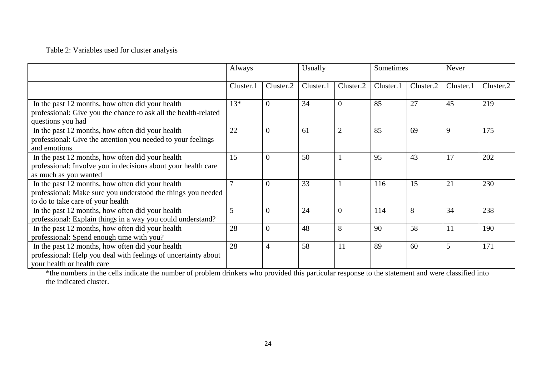## Table 2: Variables used for cluster analysis

|                                                                                                                                                       | Always    |                | Usually   |                | Sometimes |           | Never     |           |
|-------------------------------------------------------------------------------------------------------------------------------------------------------|-----------|----------------|-----------|----------------|-----------|-----------|-----------|-----------|
|                                                                                                                                                       | Cluster.1 | Cluster.2      | Cluster.1 | Cluster.2      | Cluster.1 | Cluster.2 | Cluster.1 | Cluster.2 |
| In the past 12 months, how often did your health<br>professional: Give you the chance to ask all the health-related<br>questions you had              | $13*$     | $\Omega$       | 34        | $\theta$       | 85        | 27        | 45        | 219       |
| In the past 12 months, how often did your health<br>professional: Give the attention you needed to your feelings<br>and emotions                      | 22        | $\overline{0}$ | 61        | $\overline{2}$ | 85        | 69        | 9         | 175       |
| In the past 12 months, how often did your health<br>professional: Involve you in decisions about your health care<br>as much as you wanted            | 15        | $\Omega$       | 50        |                | 95        | 43        | 17        | 202       |
| In the past 12 months, how often did your health<br>professional: Make sure you understood the things you needed<br>to do to take care of your health | $\tau$    | $\Omega$       | 33        |                | 116       | 15        | 21        | 230       |
| In the past 12 months, how often did your health<br>professional: Explain things in a way you could understand?                                       | 5         | $\Omega$       | 24        | $\overline{0}$ | 114       | 8         | 34        | 238       |
| In the past 12 months, how often did your health<br>professional: Spend enough time with you?                                                         | 28        | $\theta$       | 48        | 8              | 90        | 58        | 11        | 190       |
| In the past 12 months, how often did your health<br>professional: Help you deal with feelings of uncertainty about<br>your health or health care      | 28        | $\overline{4}$ | 58        | 11             | 89        | 60        | 5         | 171       |

\*the numbers in the cells indicate the number of problem drinkers who provided this particular response to the statement and were classified into the indicated cluster.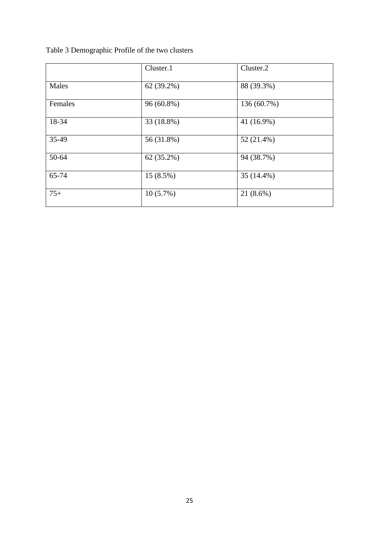|  |  |  | Table 3 Demographic Profile of the two clusters |
|--|--|--|-------------------------------------------------|
|  |  |  |                                                 |

|         | Cluster.1    | Cluster.2   |
|---------|--------------|-------------|
| Males   | 62 (39.2%)   | 88 (39.3%)  |
| Females | 96 (60.8%)   | 136 (60.7%) |
| 18-34   | 33 (18.8%)   | 41 (16.9%)  |
| 35-49   | 56 (31.8%)   | 52 (21.4%)  |
| 50-64   | $62(35.2\%)$ | 94 (38.7%)  |
| 65-74   | 15 (8.5%)    | 35 (14.4%)  |
| $75+$   | $10(5.7\%)$  | 21 (8.6%)   |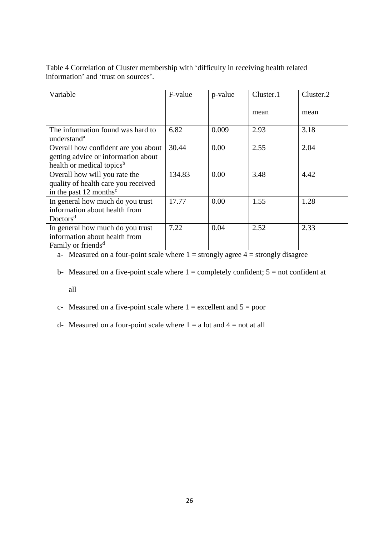Table 4 Correlation of Cluster membership with 'difficulty in receiving health related information' and 'trust on sources'.

| Variable                              | F-value | p-value | Cluster.1 | Cluster.2 |
|---------------------------------------|---------|---------|-----------|-----------|
|                                       |         |         |           |           |
|                                       |         |         |           |           |
|                                       |         |         | mean      | mean      |
|                                       |         |         |           |           |
| The information found was hard to     | 6.82    | 0.009   | 2.93      | 3.18      |
| understand <sup>a</sup>               |         |         |           |           |
| Overall how confident are you about   | 30.44   | 0.00    | 2.55      | 2.04      |
|                                       |         |         |           |           |
| getting advice or information about   |         |         |           |           |
| health or medical topics <sup>b</sup> |         |         |           |           |
| Overall how will you rate the         | 134.83  | 0.00    | 3.48      | 4.42      |
| quality of health care you received   |         |         |           |           |
| in the past $12$ months <sup>c</sup>  |         |         |           |           |
| In general how much do you trust      | 17.77   | 0.00    | 1.55      | 1.28      |
| information about health from         |         |         |           |           |
| Doctors <sup>d</sup>                  |         |         |           |           |
| In general how much do you trust      | 7.22    | 0.04    | 2.52      | 2.33      |
| information about health from         |         |         |           |           |
| Family or friends <sup>d</sup>        |         |         |           |           |

a- Measured on a four-point scale where  $1 =$  strongly agree  $4 =$  strongly disagree

b- Measured on a five-point scale where  $1 =$  completely confident;  $5 =$  not confident at

all

c- Measured on a five-point scale where  $1 =$  excellent and  $5 =$  poor

d- Measured on a four-point scale where  $1 = a$  lot and  $4 = not$  at all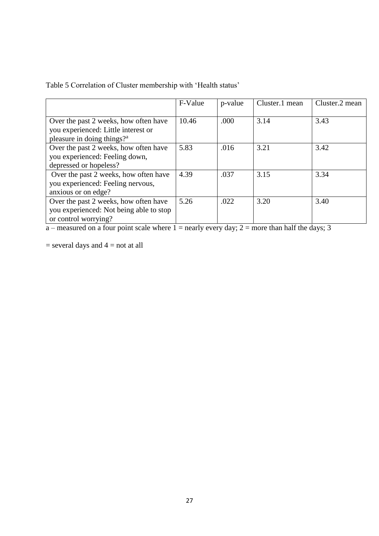|  |  | Table 5 Correlation of Cluster membership with 'Health status' |
|--|--|----------------------------------------------------------------|
|  |  |                                                                |

|                                                                                                                        | F-Value | p-value | Cluster.1 mean | Cluster.2 mean |
|------------------------------------------------------------------------------------------------------------------------|---------|---------|----------------|----------------|
| Over the past 2 weeks, how often have<br>you experienced: Little interest or<br>pleasure in doing things? <sup>a</sup> | 10.46   | .000    | 3.14           | 3.43           |
| Over the past 2 weeks, how often have<br>you experienced: Feeling down,<br>depressed or hopeless?                      | 5.83    | .016    | 3.21           | 3.42           |
| Over the past 2 weeks, how often have<br>you experienced: Feeling nervous,<br>anxious or on edge?                      | 4.39    | .037    | 3.15           | 3.34           |
| Over the past 2 weeks, how often have<br>you experienced: Not being able to stop<br>or control worrying?               | 5.26    | .022    | 3.20           | 3.40           |

a – measured on a four point scale where  $1$  = nearly every day;  $2$  = more than half the days; 3

 $=$  several days and  $4 =$  not at all